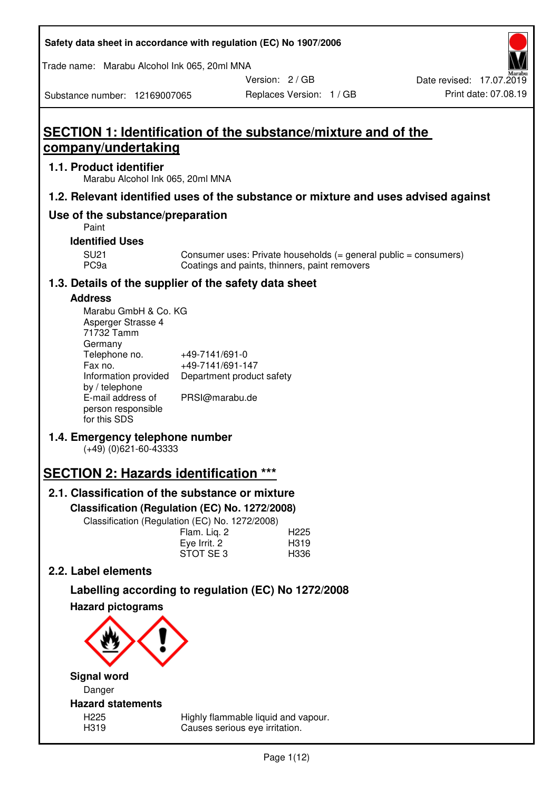| Safety data sheet in accordance with regulation (EC) No 1907/2006 |  |
|-------------------------------------------------------------------|--|
|-------------------------------------------------------------------|--|

Trade name: Marabu Alcohol Ink 065, 20ml MNA

Version: 2 / GB

# **SECTION 1: Identification of the substance/mixture and of the company/undertaking**

# **1.1. Product identifier**

Substance number: 12169007065

Marabu Alcohol Ink 065, 20ml MNA

# **1.2. Relevant identified uses of the substance or mixture and uses advised against**

# **Use of the substance/preparation**

Paint

# **Identified Uses**

SU21 Consumer uses: Private households (= general public = consumers)<br>PC9a Coatings and paints, thinners, paint removers Coatings and paints, thinners, paint removers

# **1.3. Details of the supplier of the safety data sheet**

# **Address**

| Marabu GmbH & Co. KG |                           |
|----------------------|---------------------------|
| Asperger Strasse 4   |                           |
| 71732 Tamm           |                           |
| Germany              |                           |
| Telephone no.        | +49-7141/691-0            |
| Fax no.              | +49-7141/691-147          |
| Information provided | Department product safety |
| by / telephone       |                           |
| E-mail address of    | PRSI@marabu.de            |
| person responsible   |                           |
| for this SDS         |                           |

# **1.4. Emergency telephone number**

(+49) (0)621-60-43333

# **SECTION 2: Hazards identification \*\*\***

# **2.1. Classification of the substance or mixture**

**Classification (Regulation (EC) No. 1272/2008)** 

Classification (Regulation (EC) No. 1272/2008)

|              | . |                  |
|--------------|---|------------------|
| Flam. Lig. 2 |   | H <sub>225</sub> |
| Eye Irrit. 2 |   | H319             |
| STOT SE3     |   | H336             |
|              |   |                  |

# **2.2. Label elements**

# **Labelling according to regulation (EC) No 1272/2008**



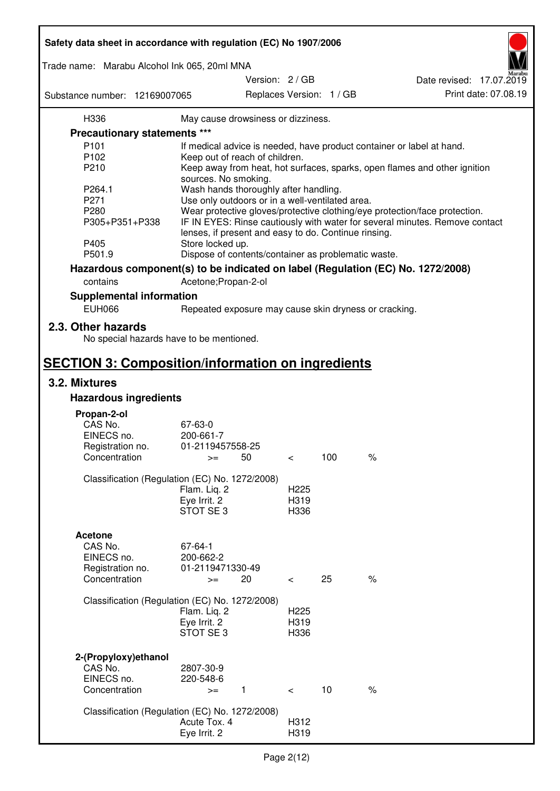| Safety data sheet in accordance with regulation (EC) No 1907/2006 |                                                       |                          |     |                                                                                 |
|-------------------------------------------------------------------|-------------------------------------------------------|--------------------------|-----|---------------------------------------------------------------------------------|
| Trade name: Marabu Alcohol Ink 065, 20ml MNA                      |                                                       |                          |     |                                                                                 |
|                                                                   |                                                       | Version: 2 / GB          |     | Date revised: 17.07.2019                                                        |
| Substance number: 12169007065                                     |                                                       | Replaces Version: 1 / GB |     | Print date: 07.08.19                                                            |
| H336                                                              | May cause drowsiness or dizziness.                    |                          |     |                                                                                 |
| Precautionary statements ***                                      |                                                       |                          |     |                                                                                 |
| P <sub>101</sub>                                                  |                                                       |                          |     | If medical advice is needed, have product container or label at hand.           |
| P102                                                              | Keep out of reach of children.                        |                          |     |                                                                                 |
| P210                                                              |                                                       |                          |     | Keep away from heat, hot surfaces, sparks, open flames and other ignition       |
|                                                                   | sources. No smoking.                                  |                          |     |                                                                                 |
| P264.1                                                            | Wash hands thoroughly after handling.                 |                          |     |                                                                                 |
| P271                                                              | Use only outdoors or in a well-ventilated area.       |                          |     |                                                                                 |
| P280                                                              |                                                       |                          |     | Wear protective gloves/protective clothing/eye protection/face protection.      |
| P305+P351+P338                                                    | lenses, if present and easy to do. Continue rinsing.  |                          |     | IF IN EYES: Rinse cautiously with water for several minutes. Remove contact     |
| P405                                                              | Store locked up.                                      |                          |     |                                                                                 |
| P501.9                                                            | Dispose of contents/container as problematic waste.   |                          |     |                                                                                 |
|                                                                   |                                                       |                          |     | Hazardous component(s) to be indicated on label (Regulation (EC) No. 1272/2008) |
| contains                                                          | Acetone; Propan-2-ol                                  |                          |     |                                                                                 |
| <b>Supplemental information</b>                                   |                                                       |                          |     |                                                                                 |
| <b>EUH066</b>                                                     | Repeated exposure may cause skin dryness or cracking. |                          |     |                                                                                 |
| 2.3. Other hazards<br>No special hazards have to be mentioned.    |                                                       |                          |     |                                                                                 |
| <b>SECTION 3: Composition/information on ingredients</b>          |                                                       |                          |     |                                                                                 |
| 3.2. Mixtures                                                     |                                                       |                          |     |                                                                                 |
| <b>Hazardous ingredients</b>                                      |                                                       |                          |     |                                                                                 |
|                                                                   |                                                       |                          |     |                                                                                 |
| Propan-2-ol<br>CAS No.                                            | 67-63-0                                               |                          |     |                                                                                 |
| EINECS no.                                                        | 200-661-7                                             |                          |     |                                                                                 |
| Registration no.                                                  | 01-2119457558-25                                      |                          |     |                                                                                 |
| Concentration                                                     | 50<br>$>=$                                            | $\,<\,$                  | 100 | $\%$                                                                            |
|                                                                   |                                                       |                          |     |                                                                                 |
|                                                                   | Classification (Regulation (EC) No. 1272/2008)        |                          |     |                                                                                 |
|                                                                   | Flam. Liq. 2                                          | H <sub>225</sub>         |     |                                                                                 |
|                                                                   | Eye Irrit. 2                                          | H319                     |     |                                                                                 |
|                                                                   | STOT SE3                                              | H336                     |     |                                                                                 |
|                                                                   |                                                       |                          |     |                                                                                 |
| <b>Acetone</b>                                                    |                                                       |                          |     |                                                                                 |
| CAS No.                                                           | 67-64-1                                               |                          |     |                                                                                 |
| EINECS no.                                                        | 200-662-2                                             |                          |     |                                                                                 |
| Registration no.                                                  | 01-2119471330-49                                      |                          |     |                                                                                 |
| Concentration                                                     | 20<br>$>=$                                            | $\overline{\phantom{0}}$ | 25  | $\%$                                                                            |
|                                                                   | Classification (Regulation (EC) No. 1272/2008)        |                          |     |                                                                                 |
|                                                                   | Flam. Liq. 2                                          | H <sub>225</sub>         |     |                                                                                 |
|                                                                   | Eye Irrit. 2                                          | H319                     |     |                                                                                 |
|                                                                   | STOT SE3                                              | H336                     |     |                                                                                 |
|                                                                   |                                                       |                          |     |                                                                                 |
| 2-(Propyloxy) ethanol                                             |                                                       |                          |     |                                                                                 |
| CAS No.                                                           | 2807-30-9                                             |                          |     |                                                                                 |
| EINECS no.                                                        | 220-548-6                                             |                          |     |                                                                                 |
| Concentration                                                     | $\mathbf{1}$<br>$>=$                                  | $\prec$                  | 10  | $\%$                                                                            |
|                                                                   |                                                       |                          |     |                                                                                 |
|                                                                   | Classification (Regulation (EC) No. 1272/2008)        |                          |     |                                                                                 |
|                                                                   | Acute Tox. 4                                          | H312                     |     |                                                                                 |
|                                                                   | Eye Irrit. 2                                          | H319                     |     |                                                                                 |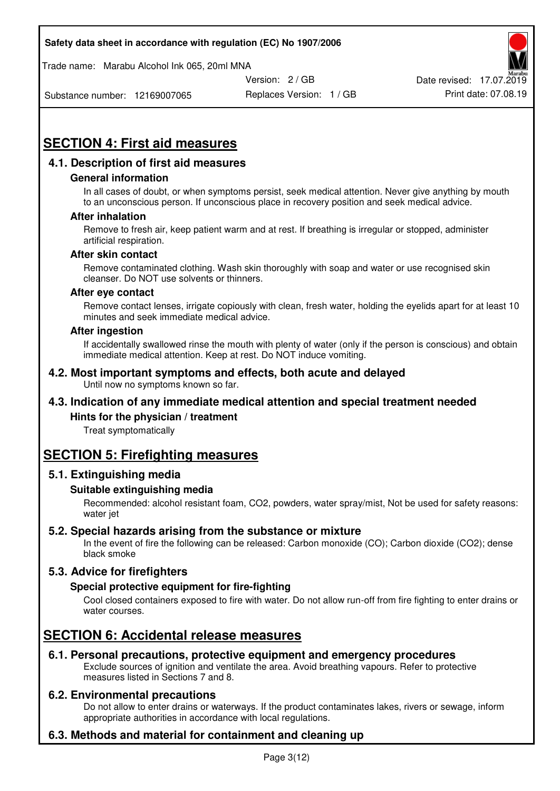Trade name: Marabu Alcohol Ink 065, 20ml MNA



Substance number: 12169007065

Replaces Version: 1 / GB Print date: 07.08.19

# **SECTION 4: First aid measures**

# **4.1. Description of first aid measures**

# **General information**

In all cases of doubt, or when symptoms persist, seek medical attention. Never give anything by mouth to an unconscious person. If unconscious place in recovery position and seek medical advice.

# **After inhalation**

Remove to fresh air, keep patient warm and at rest. If breathing is irregular or stopped, administer artificial respiration.

#### **After skin contact**

Remove contaminated clothing. Wash skin thoroughly with soap and water or use recognised skin cleanser. Do NOT use solvents or thinners.

#### **After eye contact**

Remove contact lenses, irrigate copiously with clean, fresh water, holding the eyelids apart for at least 10 minutes and seek immediate medical advice.

#### **After ingestion**

If accidentally swallowed rinse the mouth with plenty of water (only if the person is conscious) and obtain immediate medical attention. Keep at rest. Do NOT induce vomiting.

#### **4.2. Most important symptoms and effects, both acute and delayed**  Until now no symptoms known so far.

# **4.3. Indication of any immediate medical attention and special treatment needed**

# **Hints for the physician / treatment**

Treat symptomatically

# **SECTION 5: Firefighting measures**

# **5.1. Extinguishing media**

# **Suitable extinguishing media**

Recommended: alcohol resistant foam, CO2, powders, water spray/mist, Not be used for safety reasons: water jet

# **5.2. Special hazards arising from the substance or mixture**

In the event of fire the following can be released: Carbon monoxide (CO); Carbon dioxide (CO2); dense black smoke

# **5.3. Advice for firefighters**

# **Special protective equipment for fire-fighting**

Cool closed containers exposed to fire with water. Do not allow run-off from fire fighting to enter drains or water courses.

# **SECTION 6: Accidental release measures**

# **6.1. Personal precautions, protective equipment and emergency procedures**

Exclude sources of ignition and ventilate the area. Avoid breathing vapours. Refer to protective measures listed in Sections 7 and 8.

# **6.2. Environmental precautions**

Do not allow to enter drains or waterways. If the product contaminates lakes, rivers or sewage, inform appropriate authorities in accordance with local regulations.

# **6.3. Methods and material for containment and cleaning up**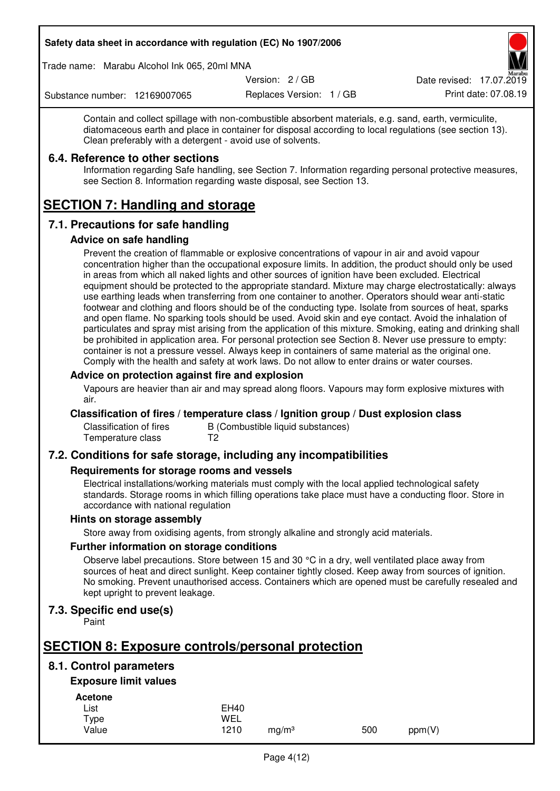Trade name: Marabu Alcohol Ink 065, 20ml MNA

Version: 2 / GB

Replaces Version: 1 / GB Print date: 07.08.19 Date revised: 17.07.2019

Substance number: 12169007065

Contain and collect spillage with non-combustible absorbent materials, e.g. sand, earth, vermiculite, diatomaceous earth and place in container for disposal according to local regulations (see section 13). Clean preferably with a detergent - avoid use of solvents.

# **6.4. Reference to other sections**

Information regarding Safe handling, see Section 7. Information regarding personal protective measures, see Section 8. Information regarding waste disposal, see Section 13.

# **SECTION 7: Handling and storage**

# **7.1. Precautions for safe handling**

# **Advice on safe handling**

Prevent the creation of flammable or explosive concentrations of vapour in air and avoid vapour concentration higher than the occupational exposure limits. In addition, the product should only be used in areas from which all naked lights and other sources of ignition have been excluded. Electrical equipment should be protected to the appropriate standard. Mixture may charge electrostatically: always use earthing leads when transferring from one container to another. Operators should wear anti-static footwear and clothing and floors should be of the conducting type. Isolate from sources of heat, sparks and open flame. No sparking tools should be used. Avoid skin and eye contact. Avoid the inhalation of particulates and spray mist arising from the application of this mixture. Smoking, eating and drinking shall be prohibited in application area. For personal protection see Section 8. Never use pressure to empty: container is not a pressure vessel. Always keep in containers of same material as the original one. Comply with the health and safety at work laws. Do not allow to enter drains or water courses.

# **Advice on protection against fire and explosion**

Vapours are heavier than air and may spread along floors. Vapours may form explosive mixtures with air.

# **Classification of fires / temperature class / Ignition group / Dust explosion class**

Classification of fires B (Combustible liquid substances)<br>Temperature class T2 Temperature class

# **7.2. Conditions for safe storage, including any incompatibilities**

# **Requirements for storage rooms and vessels**

Electrical installations/working materials must comply with the local applied technological safety standards. Storage rooms in which filling operations take place must have a conducting floor. Store in accordance with national regulation

# **Hints on storage assembly**

Store away from oxidising agents, from strongly alkaline and strongly acid materials.

# **Further information on storage conditions**

Observe label precautions. Store between 15 and 30 °C in a dry, well ventilated place away from sources of heat and direct sunlight. Keep container tightly closed. Keep away from sources of ignition. No smoking. Prevent unauthorised access. Containers which are opened must be carefully resealed and kept upright to prevent leakage.

# **7.3. Specific end use(s)**

Paint

# **SECTION 8: Exposure controls/personal protection**

# **8.1. Control parameters**

# **Exposure limit values**

**Acetone** 

| List  | <b>EH40</b> |                   |     |        |
|-------|-------------|-------------------|-----|--------|
| Type  | WEL         |                   |     |        |
| Value | 1210        | mg/m <sup>3</sup> | 500 | ppm(V) |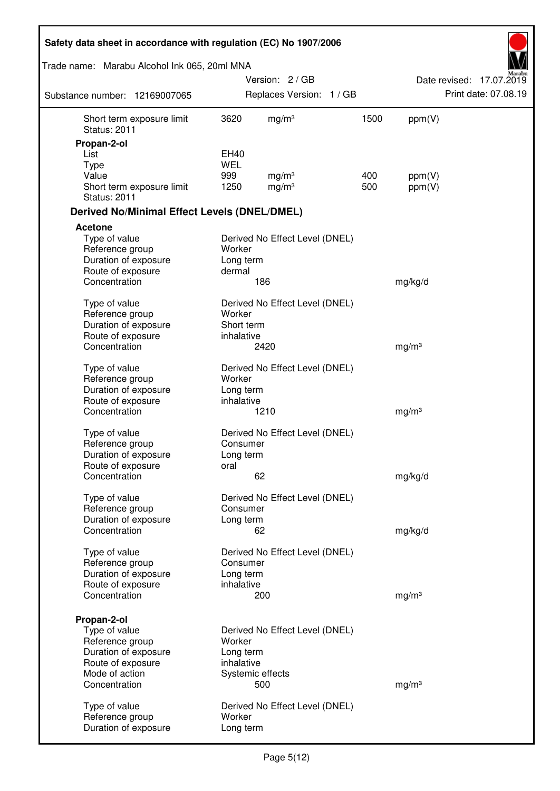| Safety data sheet in accordance with regulation (EC) No 1907/2006 |                     |                                |      |                   |                          |
|-------------------------------------------------------------------|---------------------|--------------------------------|------|-------------------|--------------------------|
| Trade name: Marabu Alcohol Ink 065, 20ml MNA                      |                     |                                |      |                   |                          |
|                                                                   |                     | Version: 2/GB                  |      |                   | Date revised: 17.07.2019 |
| Substance number: 12169007065                                     |                     | Replaces Version: 1 / GB       |      |                   | Print date: 07.08.19     |
| Short term exposure limit<br><b>Status: 2011</b>                  | 3620                | mg/m <sup>3</sup>              | 1500 | ppm(V)            |                          |
| Propan-2-ol                                                       |                     |                                |      |                   |                          |
| List                                                              | EH40                |                                |      |                   |                          |
| Type<br>Value                                                     | <b>WEL</b><br>999   | mg/m <sup>3</sup>              | 400  | ppm(V)            |                          |
| Short term exposure limit<br><b>Status: 2011</b>                  | 1250                | mg/m <sup>3</sup>              | 500  | ppm(V)            |                          |
| <b>Derived No/Minimal Effect Levels (DNEL/DMEL)</b>               |                     |                                |      |                   |                          |
| <b>Acetone</b>                                                    |                     |                                |      |                   |                          |
| Type of value<br>Reference group<br>Duration of exposure          | Worker<br>Long term | Derived No Effect Level (DNEL) |      |                   |                          |
| Route of exposure<br>Concentration                                | dermal              |                                |      |                   |                          |
|                                                                   |                     | 186                            |      | mg/kg/d           |                          |
| Type of value<br>Reference group                                  | Worker              | Derived No Effect Level (DNEL) |      |                   |                          |
| Duration of exposure                                              | Short term          |                                |      |                   |                          |
| Route of exposure                                                 | inhalative          |                                |      |                   |                          |
| Concentration                                                     |                     | 2420                           |      | mg/m <sup>3</sup> |                          |
| Type of value                                                     |                     | Derived No Effect Level (DNEL) |      |                   |                          |
| Reference group                                                   | Worker              |                                |      |                   |                          |
| Duration of exposure                                              | Long term           |                                |      |                   |                          |
| Route of exposure                                                 | inhalative          |                                |      |                   |                          |
| Concentration                                                     |                     | 1210                           |      | mg/m <sup>3</sup> |                          |
| Type of value                                                     |                     | Derived No Effect Level (DNEL) |      |                   |                          |
| Reference group                                                   | Consumer            |                                |      |                   |                          |
| Duration of exposure                                              | Long term           |                                |      |                   |                          |
| Route of exposure                                                 | oral                |                                |      |                   |                          |
| Concentration                                                     |                     | 62                             |      | mg/kg/d           |                          |
| Type of value                                                     |                     | Derived No Effect Level (DNEL) |      |                   |                          |
| Reference group                                                   | Consumer            |                                |      |                   |                          |
| Duration of exposure                                              | Long term           |                                |      |                   |                          |
| Concentration                                                     |                     | 62                             |      | mg/kg/d           |                          |
| Type of value                                                     |                     | Derived No Effect Level (DNEL) |      |                   |                          |
| Reference group                                                   | Consumer            |                                |      |                   |                          |
| Duration of exposure                                              | Long term           |                                |      |                   |                          |
| Route of exposure                                                 | inhalative          |                                |      |                   |                          |
| Concentration                                                     |                     | 200                            |      | mg/m <sup>3</sup> |                          |
| Propan-2-ol                                                       |                     |                                |      |                   |                          |
| Type of value                                                     |                     | Derived No Effect Level (DNEL) |      |                   |                          |
| Reference group                                                   | Worker              |                                |      |                   |                          |
| Duration of exposure                                              | Long term           |                                |      |                   |                          |
| Route of exposure                                                 | inhalative          |                                |      |                   |                          |
| Mode of action                                                    |                     | Systemic effects               |      |                   |                          |
| Concentration                                                     |                     | 500                            |      | mg/m <sup>3</sup> |                          |
| Type of value                                                     |                     | Derived No Effect Level (DNEL) |      |                   |                          |
| Reference group                                                   | Worker              |                                |      |                   |                          |
| Duration of exposure                                              | Long term           |                                |      |                   |                          |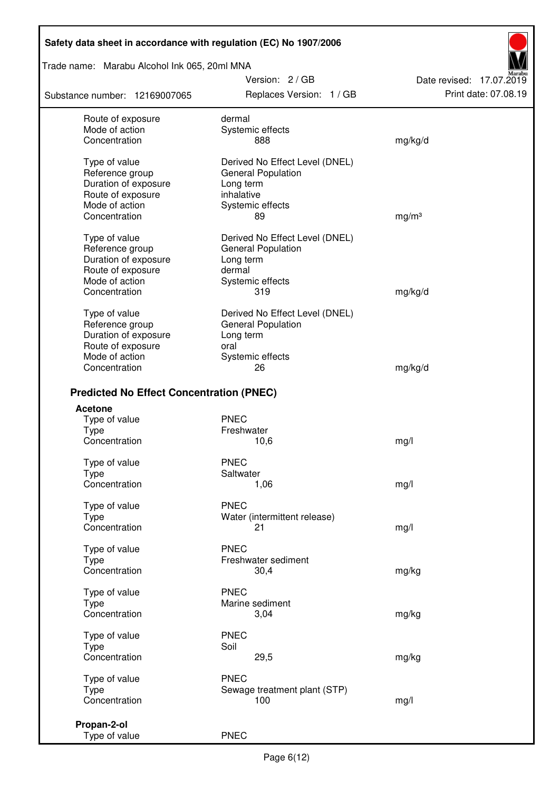Trade name: Marabu Alcohol Ink 065, 20ml MNA

Substance number: 12169007065

Version: 2 / GB Replaces Version: 1 / GB Print date: 07.08.19

Date revised: 17.07.2019

| Route of exposure<br>Mode of action<br>Concentration                          | dermal<br>Systemic effects<br>888                                                      | mg/kg/d           |
|-------------------------------------------------------------------------------|----------------------------------------------------------------------------------------|-------------------|
| Type of value<br>Reference group<br>Duration of exposure<br>Route of exposure | Derived No Effect Level (DNEL)<br><b>General Population</b><br>Long term<br>inhalative |                   |
| Mode of action                                                                | Systemic effects                                                                       |                   |
| Concentration                                                                 | 89                                                                                     | mg/m <sup>3</sup> |
| Type of value                                                                 | Derived No Effect Level (DNEL)                                                         |                   |
| Reference group                                                               | <b>General Population</b>                                                              |                   |
| Duration of exposure                                                          | Long term                                                                              |                   |
| Route of exposure                                                             | dermal                                                                                 |                   |
| Mode of action                                                                | Systemic effects                                                                       |                   |
| Concentration                                                                 | 319                                                                                    | mg/kg/d           |
| Type of value                                                                 | Derived No Effect Level (DNEL)                                                         |                   |
| Reference group                                                               | <b>General Population</b>                                                              |                   |
| Duration of exposure                                                          | Long term                                                                              |                   |
| Route of exposure                                                             | oral                                                                                   |                   |
| Mode of action                                                                | Systemic effects                                                                       |                   |
| Concentration                                                                 | 26                                                                                     | mg/kg/d           |
| <b>Predicted No Effect Concentration (PNEC)</b>                               |                                                                                        |                   |
| Acetone                                                                       |                                                                                        |                   |
| Type of value                                                                 | <b>PNEC</b>                                                                            |                   |
| <b>Type</b>                                                                   | Freshwater                                                                             |                   |
| Concentration                                                                 | 10,6                                                                                   | mg/l              |
| Type of value                                                                 | <b>PNEC</b>                                                                            |                   |
| <b>Type</b>                                                                   | Saltwater                                                                              |                   |
| Concentration                                                                 | 1,06                                                                                   | mg/l              |
| Type of value                                                                 | <b>PNEC</b>                                                                            |                   |
| <b>Type</b>                                                                   | Water (intermittent release)                                                           |                   |
| Concentration                                                                 | 21                                                                                     | mg/l              |
| Type of value                                                                 | <b>PNEC</b>                                                                            |                   |
| Type                                                                          | Freshwater sediment                                                                    |                   |
| Concentration                                                                 | 30,4                                                                                   | mg/kg             |
| Type of value                                                                 | <b>PNEC</b>                                                                            |                   |
| <b>Type</b>                                                                   | Marine sediment                                                                        |                   |
| Concentration                                                                 | 3,04                                                                                   | mg/kg             |
| Type of value                                                                 | <b>PNEC</b>                                                                            |                   |
| Type                                                                          | Soil                                                                                   |                   |
| Concentration                                                                 | 29,5                                                                                   | mg/kg             |
| Type of value                                                                 | <b>PNEC</b>                                                                            |                   |
| <b>Type</b>                                                                   | Sewage treatment plant (STP)                                                           |                   |
| Concentration                                                                 | 100                                                                                    | mg/l              |
| Propan-2-ol                                                                   |                                                                                        |                   |
| Type of value                                                                 | <b>PNEC</b>                                                                            |                   |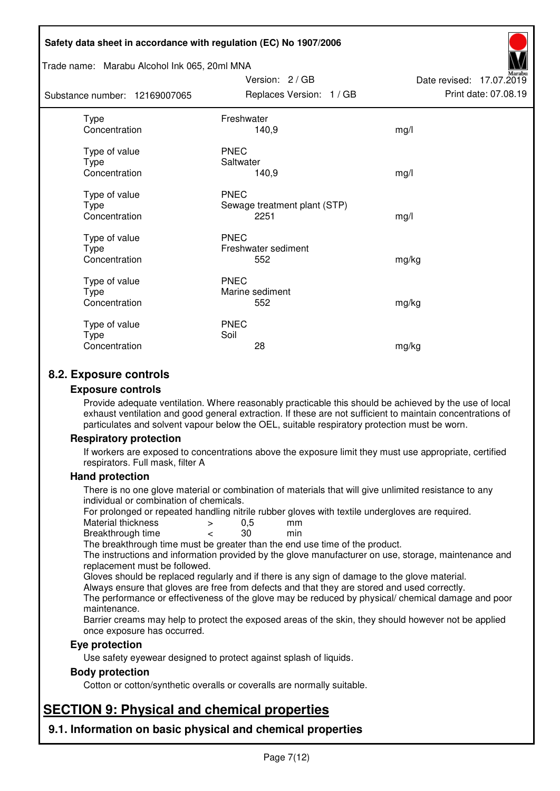#### Trade name: Marabu Alcohol Ink 065, 20ml MNA

| Substance number: 12169007065          | Replaces Version: 1 / GB                            | Print date: 07.08.19 |
|----------------------------------------|-----------------------------------------------------|----------------------|
| Type<br>Concentration                  | Freshwater<br>140,9                                 | mg/l                 |
| Type of value<br>Type<br>Concentration | <b>PNEC</b><br>Saltwater<br>140,9                   | mg/l                 |
| Type of value<br>Type<br>Concentration | <b>PNEC</b><br>Sewage treatment plant (STP)<br>2251 | mg/l                 |
| Type of value<br>Type<br>Concentration | <b>PNEC</b><br>Freshwater sediment<br>552           | mg/kg                |
| Type of value<br>Type<br>Concentration | <b>PNEC</b><br>Marine sediment<br>552               | mg/kg                |
| Type of value<br>Type<br>Concentration | <b>PNEC</b><br>Soil<br>28                           | mg/kg                |

Version: 2 / GB

Date revised: 17.07.2019

# **8.2. Exposure controls**

#### **Exposure controls**

Provide adequate ventilation. Where reasonably practicable this should be achieved by the use of local exhaust ventilation and good general extraction. If these are not sufficient to maintain concentrations of particulates and solvent vapour below the OEL, suitable respiratory protection must be worn.

# **Respiratory protection**

If workers are exposed to concentrations above the exposure limit they must use appropriate, certified respirators. Full mask, filter A

#### **Hand protection**

There is no one glove material or combination of materials that will give unlimited resistance to any individual or combination of chemicals.

For prolonged or repeated handling nitrile rubber gloves with textile undergloves are required.<br>Material thickness  $\geq 0.5$  mm

- Material thickness  $\begin{array}{ccc} 0.5 \\ -8.5 \end{array}$  Material thickness  $\begin{array}{ccc} 0.5 \\ -8.5 \end{array}$
- Breakthrough time < 30 min

The breakthrough time must be greater than the end use time of the product.

The instructions and information provided by the glove manufacturer on use, storage, maintenance and replacement must be followed.

Gloves should be replaced regularly and if there is any sign of damage to the glove material.

Always ensure that gloves are free from defects and that they are stored and used correctly.

The performance or effectiveness of the glove may be reduced by physical/ chemical damage and poor maintenance.

Barrier creams may help to protect the exposed areas of the skin, they should however not be applied once exposure has occurred.

# **Eye protection**

Use safety eyewear designed to protect against splash of liquids.

# **Body protection**

Cotton or cotton/synthetic overalls or coveralls are normally suitable.

# **SECTION 9: Physical and chemical properties**

**9.1. Information on basic physical and chemical properties**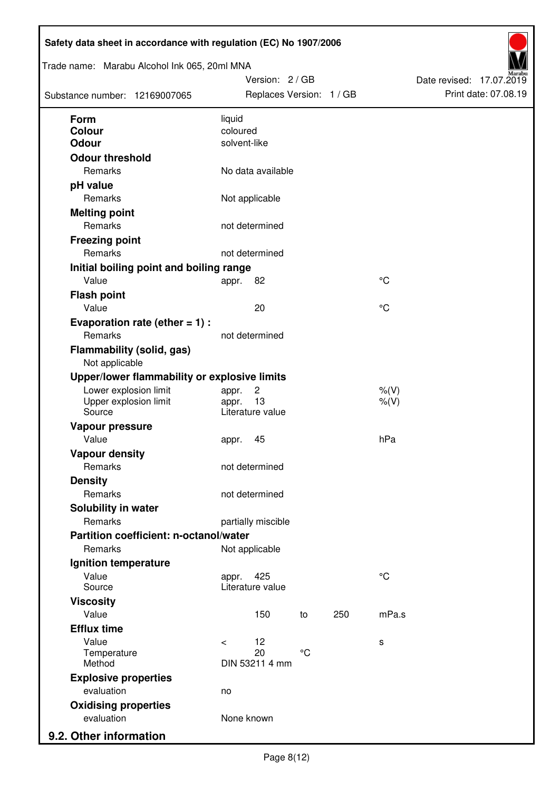| Trade name: Marabu Alcohol Ink 065, 20ml MNA<br>Substance number: 12169007065 |                          | Version: 2 / GB<br>Replaces Version: 1 / GB |                 |     |                    | Date revised: 17.07.2019 | Print date: 07.08.19 |
|-------------------------------------------------------------------------------|--------------------------|---------------------------------------------|-----------------|-----|--------------------|--------------------------|----------------------|
| <b>Form</b>                                                                   | liquid                   |                                             |                 |     |                    |                          |                      |
| Colour<br><b>Odour</b>                                                        | coloured<br>solvent-like |                                             |                 |     |                    |                          |                      |
| <b>Odour threshold</b>                                                        |                          |                                             |                 |     |                    |                          |                      |
| Remarks                                                                       |                          | No data available                           |                 |     |                    |                          |                      |
| pH value                                                                      |                          |                                             |                 |     |                    |                          |                      |
| Remarks                                                                       |                          | Not applicable                              |                 |     |                    |                          |                      |
| <b>Melting point</b>                                                          |                          |                                             |                 |     |                    |                          |                      |
| Remarks                                                                       |                          | not determined                              |                 |     |                    |                          |                      |
| <b>Freezing point</b>                                                         |                          |                                             |                 |     |                    |                          |                      |
| Remarks                                                                       |                          | not determined                              |                 |     |                    |                          |                      |
| Initial boiling point and boiling range                                       |                          |                                             |                 |     |                    |                          |                      |
| Value                                                                         | appr.                    | 82                                          |                 |     | $^{\circ}C$        |                          |                      |
| <b>Flash point</b>                                                            |                          |                                             |                 |     |                    |                          |                      |
| Value                                                                         |                          | 20                                          |                 |     | °C                 |                          |                      |
| Evaporation rate (ether $= 1$ ) :                                             |                          |                                             |                 |     |                    |                          |                      |
| Remarks                                                                       |                          | not determined                              |                 |     |                    |                          |                      |
| <b>Flammability (solid, gas)</b><br>Not applicable                            |                          |                                             |                 |     |                    |                          |                      |
| Upper/lower flammability or explosive limits                                  |                          |                                             |                 |     |                    |                          |                      |
| Lower explosion limit<br>Upper explosion limit<br>Source                      | appr.<br>appr.           | $\overline{c}$<br>13<br>Literature value    |                 |     | $%$ (V)<br>$%$ (V) |                          |                      |
| Vapour pressure                                                               |                          |                                             |                 |     |                    |                          |                      |
| Value                                                                         | appr.                    | 45                                          |                 |     | hPa                |                          |                      |
| <b>Vapour density</b>                                                         |                          |                                             |                 |     |                    |                          |                      |
| Remarks                                                                       |                          | not determined                              |                 |     |                    |                          |                      |
| <b>Density</b>                                                                |                          |                                             |                 |     |                    |                          |                      |
| Remarks                                                                       |                          | not determined                              |                 |     |                    |                          |                      |
| Solubility in water                                                           |                          |                                             |                 |     |                    |                          |                      |
| Remarks                                                                       |                          | partially miscible                          |                 |     |                    |                          |                      |
| Partition coefficient: n-octanol/water                                        |                          |                                             |                 |     |                    |                          |                      |
| Remarks                                                                       |                          | Not applicable                              |                 |     |                    |                          |                      |
| Ignition temperature                                                          |                          |                                             |                 |     |                    |                          |                      |
| Value<br>Source                                                               | appr.                    | 425<br>Literature value                     |                 |     | $^{\circ}C$        |                          |                      |
| <b>Viscosity</b>                                                              |                          |                                             |                 |     |                    |                          |                      |
| Value                                                                         |                          | 150                                         | to              | 250 | mPa.s              |                          |                      |
| <b>Efflux time</b>                                                            |                          |                                             |                 |     |                    |                          |                      |
| Value                                                                         | $\prec$                  | 12                                          |                 |     | s                  |                          |                      |
| Temperature<br>Method                                                         |                          | 20<br>DIN 53211 4 mm                        | $\rm ^{\circ}C$ |     |                    |                          |                      |
| <b>Explosive properties</b>                                                   |                          |                                             |                 |     |                    |                          |                      |
| evaluation                                                                    | no                       |                                             |                 |     |                    |                          |                      |
| <b>Oxidising properties</b>                                                   |                          |                                             |                 |     |                    |                          |                      |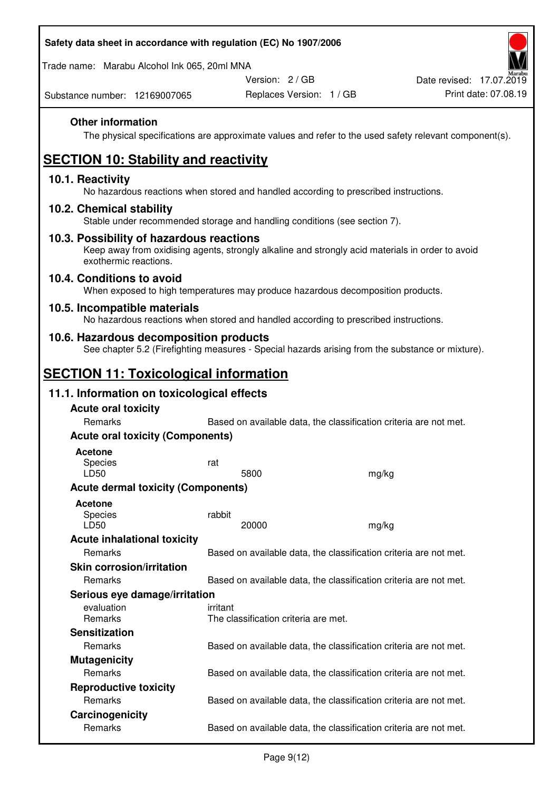| Safety data sheet in accordance with regulation (EC) No 1907/2006                                                                                                     |          |                                                                   |       |                                                                                                        |
|-----------------------------------------------------------------------------------------------------------------------------------------------------------------------|----------|-------------------------------------------------------------------|-------|--------------------------------------------------------------------------------------------------------|
| Trade name: Marabu Alcohol Ink 065, 20ml MNA                                                                                                                          |          |                                                                   |       |                                                                                                        |
|                                                                                                                                                                       |          | Version: 2/GB                                                     |       | Date revised: 17.07.2019                                                                               |
| Substance number: 12169007065                                                                                                                                         |          | Replaces Version: 1 / GB                                          |       | Print date: 07.08.19                                                                                   |
| <b>Other information</b>                                                                                                                                              |          |                                                                   |       | The physical specifications are approximate values and refer to the used safety relevant component(s). |
| <b>SECTION 10: Stability and reactivity</b>                                                                                                                           |          |                                                                   |       |                                                                                                        |
| 10.1. Reactivity<br>No hazardous reactions when stored and handled according to prescribed instructions.                                                              |          |                                                                   |       |                                                                                                        |
| 10.2. Chemical stability<br>Stable under recommended storage and handling conditions (see section 7).                                                                 |          |                                                                   |       |                                                                                                        |
| 10.3. Possibility of hazardous reactions<br>Keep away from oxidising agents, strongly alkaline and strongly acid materials in order to avoid<br>exothermic reactions. |          |                                                                   |       |                                                                                                        |
| 10.4. Conditions to avoid<br>When exposed to high temperatures may produce hazardous decomposition products.                                                          |          |                                                                   |       |                                                                                                        |
| 10.5. Incompatible materials<br>No hazardous reactions when stored and handled according to prescribed instructions.                                                  |          |                                                                   |       |                                                                                                        |
| 10.6. Hazardous decomposition products<br>See chapter 5.2 (Firefighting measures - Special hazards arising from the substance or mixture).                            |          |                                                                   |       |                                                                                                        |
| <b>SECTION 11: Toxicological information</b>                                                                                                                          |          |                                                                   |       |                                                                                                        |
| 11.1. Information on toxicological effects                                                                                                                            |          |                                                                   |       |                                                                                                        |
| <b>Acute oral toxicity</b>                                                                                                                                            |          |                                                                   |       |                                                                                                        |
| Remarks                                                                                                                                                               |          | Based on available data, the classification criteria are not met. |       |                                                                                                        |
| <b>Acute oral toxicity (Components)</b>                                                                                                                               |          |                                                                   |       |                                                                                                        |
| <b>Acetone</b><br><b>Species</b><br>LD50                                                                                                                              | rat      | 5800                                                              | mg/kg |                                                                                                        |
| <b>Acute dermal toxicity (Components)</b>                                                                                                                             |          |                                                                   |       |                                                                                                        |
| <b>Acetone</b>                                                                                                                                                        |          |                                                                   |       |                                                                                                        |
| <b>Species</b>                                                                                                                                                        | rabbit   |                                                                   |       |                                                                                                        |
| LD50                                                                                                                                                                  |          | 20000                                                             | mg/kg |                                                                                                        |
| <b>Acute inhalational toxicity</b><br>Remarks                                                                                                                         |          | Based on available data, the classification criteria are not met. |       |                                                                                                        |
| <b>Skin corrosion/irritation</b>                                                                                                                                      |          |                                                                   |       |                                                                                                        |
| Remarks                                                                                                                                                               |          | Based on available data, the classification criteria are not met. |       |                                                                                                        |
| Serious eye damage/irritation                                                                                                                                         |          |                                                                   |       |                                                                                                        |
| evaluation<br>Remarks                                                                                                                                                 | irritant | The classification criteria are met.                              |       |                                                                                                        |
| <b>Sensitization</b>                                                                                                                                                  |          |                                                                   |       |                                                                                                        |
| Remarks                                                                                                                                                               |          | Based on available data, the classification criteria are not met. |       |                                                                                                        |
| <b>Mutagenicity</b>                                                                                                                                                   |          |                                                                   |       |                                                                                                        |
| Remarks                                                                                                                                                               |          | Based on available data, the classification criteria are not met. |       |                                                                                                        |
| <b>Reproductive toxicity</b>                                                                                                                                          |          |                                                                   |       |                                                                                                        |
| Romarke                                                                                                                                                               |          | Rased on available data the classification criteria are not met   |       |                                                                                                        |

Remarks **Based on available data, the classification criteria are not met. Carcinogenicity**  Remarks Based on available data, the classification criteria are not met.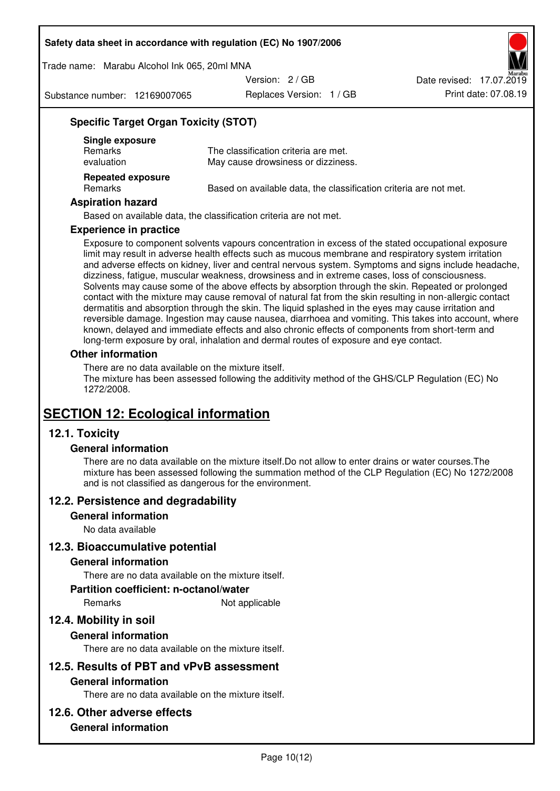Trade name: Marabu Alcohol Ink 065, 20ml MNA

Version: 2 / GB

Substance number: 12169007065

Replaces Version: 1 / GB Print date: 07.08.19 Date revised: 17.07.2019

# **Specific Target Organ Toxicity (STOT)**

| Single exposure<br><b>Remarks</b><br>evaluation | The classification criteria are met.<br>May cause drowsiness or dizziness. |
|-------------------------------------------------|----------------------------------------------------------------------------|
| <b>Repeated exposure</b><br>Remarks             | Based on available data, the classification criteria are not met.          |

#### **Aspiration hazard**

Based on available data, the classification criteria are not met.

#### **Experience in practice**

Exposure to component solvents vapours concentration in excess of the stated occupational exposure limit may result in adverse health effects such as mucous membrane and respiratory system irritation and adverse effects on kidney, liver and central nervous system. Symptoms and signs include headache, dizziness, fatigue, muscular weakness, drowsiness and in extreme cases, loss of consciousness. Solvents may cause some of the above effects by absorption through the skin. Repeated or prolonged contact with the mixture may cause removal of natural fat from the skin resulting in non-allergic contact dermatitis and absorption through the skin. The liquid splashed in the eyes may cause irritation and reversible damage. Ingestion may cause nausea, diarrhoea and vomiting. This takes into account, where known, delayed and immediate effects and also chronic effects of components from short-term and long-term exposure by oral, inhalation and dermal routes of exposure and eye contact.

#### **Other information**

There are no data available on the mixture itself. The mixture has been assessed following the additivity method of the GHS/CLP Regulation (EC) No 1272/2008.

# **SECTION 12: Ecological information**

# **12.1. Toxicity**

# **General information**

There are no data available on the mixture itself.Do not allow to enter drains or water courses.The mixture has been assessed following the summation method of the CLP Regulation (EC) No 1272/2008 and is not classified as dangerous for the environment.

# **12.2. Persistence and degradability**

#### **General information**

No data available

# **12.3. Bioaccumulative potential**

#### **General information**

There are no data available on the mixture itself.

#### **Partition coefficient: n-octanol/water**

Remarks Not applicable

# **12.4. Mobility in soil**

# **General information**

There are no data available on the mixture itself.

# **12.5. Results of PBT and vPvB assessment**

# **General information**

There are no data available on the mixture itself.

# **12.6. Other adverse effects**

# **General information**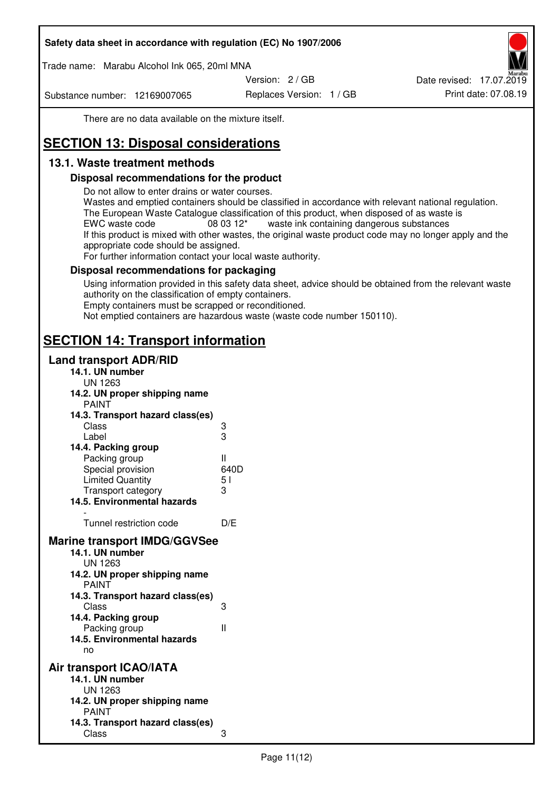Trade name: Marabu Alcohol Ink 065, 20ml MNA

Version: 2 / GB

Substance number: 12169007065

Replaces Version: 1 / GB Print date: 07.08.19 Date revised: 17.07.2019

There are no data available on the mixture itself.

# **SECTION 13: Disposal considerations**

# **13.1. Waste treatment methods**

# **Disposal recommendations for the product**

Do not allow to enter drains or water courses.

Wastes and emptied containers should be classified in accordance with relevant national regulation. The European Waste Catalogue classification of this product, when disposed of as waste is EWC waste code  $08\,03\,12^*$  waste ink containing dangerous substances If this product is mixed with other wastes, the original waste product code may no longer apply and the appropriate code should be assigned.

For further information contact your local waste authority.

# **Disposal recommendations for packaging**

Using information provided in this safety data sheet, advice should be obtained from the relevant waste authority on the classification of empty containers. Empty containers must be scrapped or reconditioned.

Not emptied containers are hazardous waste (waste code number 150110).

# **SECTION 14: Transport information**

# **Land transport ADR/RID**

| 14.1. UN number<br><b>UN 1263</b>                                                                                                                                                                                                            |                   |
|----------------------------------------------------------------------------------------------------------------------------------------------------------------------------------------------------------------------------------------------|-------------------|
| 14.2. UN proper shipping name                                                                                                                                                                                                                |                   |
| <b>PAINT</b>                                                                                                                                                                                                                                 |                   |
| 14.3. Transport hazard class(es)                                                                                                                                                                                                             |                   |
| Class                                                                                                                                                                                                                                        | ვ<br>ვ            |
| Label                                                                                                                                                                                                                                        |                   |
| 14.4. Packing group                                                                                                                                                                                                                          |                   |
| Packing group                                                                                                                                                                                                                                | Ш                 |
| Special provision                                                                                                                                                                                                                            | 640D              |
| <b>Limited Quantity</b>                                                                                                                                                                                                                      | 5 <sub>1</sub>    |
| Transport category                                                                                                                                                                                                                           | 3                 |
| 14.5. Environmental hazards                                                                                                                                                                                                                  |                   |
| Tunnel restriction code                                                                                                                                                                                                                      | D/E               |
| <b>Marine transport IMDG/GGVSee</b><br>14.1. UN number<br>UN 1263<br>14.2. UN proper shipping name<br><b>PAINT</b><br>14.3. Transport hazard class(es)<br>Class<br>14.4. Packing group<br>Packing group<br>14.5. Environmental hazards<br>no | 3<br>$\mathbf{I}$ |
| Air transport ICAO/IATA<br>14.1. UN number<br>UN 1263<br>14.2. UN proper shipping name<br><b>PAINT</b>                                                                                                                                       |                   |
| 14.3. Transport hazard class(es)<br>Class                                                                                                                                                                                                    | 3                 |